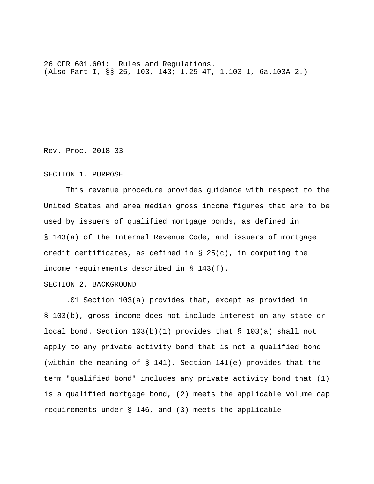26 CFR 601.601: Rules and Regulations. (Also Part I, §§ 25, 103, 143; 1.25-4T, 1.103-1, 6a.103A-2.)

Rev. Proc. 2018-33

## SECTION 1. PURPOSE

 This revenue procedure provides guidance with respect to the United States and area median gross income figures that are to be used by issuers of qualified mortgage bonds, as defined in § 143(a) of the Internal Revenue Code, and issuers of mortgage credit certificates, as defined in  $\S$  25(c), in computing the income requirements described in § 143(f).

## SECTION 2. BACKGROUND

 .01 Section 103(a) provides that, except as provided in § 103(b), gross income does not include interest on any state or local bond. Section 103(b)(1) provides that § 103(a) shall not apply to any private activity bond that is not a qualified bond (within the meaning of § 141). Section 141(e) provides that the term "qualified bond" includes any private activity bond that (1) is a qualified mortgage bond, (2) meets the applicable volume cap requirements under § 146, and (3) meets the applicable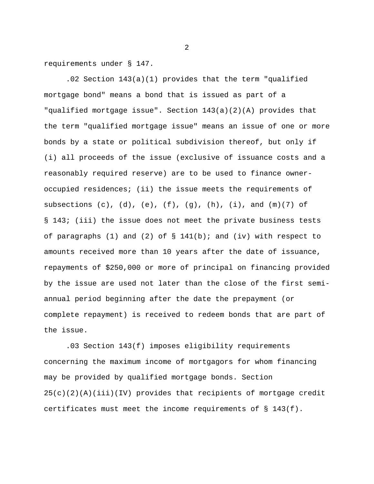requirements under § 147.

 .02 Section 143(a)(1) provides that the term "qualified mortgage bond" means a bond that is issued as part of a "qualified mortgage issue". Section 143(a)(2)(A) provides that the term "qualified mortgage issue" means an issue of one or more bonds by a state or political subdivision thereof, but only if (i) all proceeds of the issue (exclusive of issuance costs and a reasonably required reserve) are to be used to finance owneroccupied residences; (ii) the issue meets the requirements of subsections  $(c)$ ,  $(d)$ ,  $(e)$ ,  $(f)$ ,  $(g)$ ,  $(h)$ ,  $(i)$ , and  $(m)(7)$  of § 143; (iii) the issue does not meet the private business tests of paragraphs (1) and (2) of  $\S$  141(b); and (iv) with respect to amounts received more than 10 years after the date of issuance, repayments of \$250,000 or more of principal on financing provided by the issue are used not later than the close of the first semiannual period beginning after the date the prepayment (or complete repayment) is received to redeem bonds that are part of the issue.

 .03 Section 143(f) imposes eligibility requirements concerning the maximum income of mortgagors for whom financing may be provided by qualified mortgage bonds. Section 25(c)(2)(A)(iii)(IV) provides that recipients of mortgage credit certificates must meet the income requirements of § 143(f).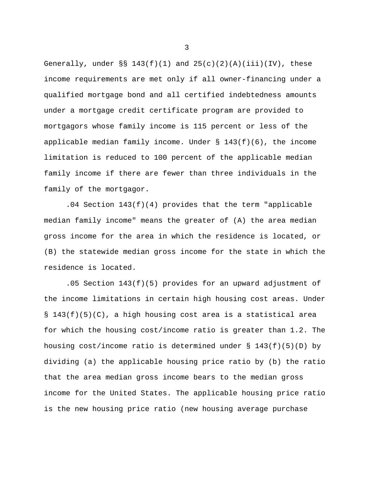Generally, under  $\S$ § 143(f)(1) and 25(c)(2)(A)(iii)(IV), these income requirements are met only if all owner-financing under a qualified mortgage bond and all certified indebtedness amounts under a mortgage credit certificate program are provided to mortgagors whose family income is 115 percent or less of the applicable median family income. Under  $\S$  143(f)(6), the income limitation is reduced to 100 percent of the applicable median family income if there are fewer than three individuals in the family of the mortgagor.

 .04 Section 143(f)(4) provides that the term "applicable median family income" means the greater of (A) the area median gross income for the area in which the residence is located, or (B) the statewide median gross income for the state in which the residence is located.

 .05 Section 143(f)(5) provides for an upward adjustment of the income limitations in certain high housing cost areas. Under § 143(f)(5)(C), a high housing cost area is a statistical area for which the housing cost/income ratio is greater than 1.2. The housing cost/income ratio is determined under  $\S$  143(f)(5)(D) by dividing (a) the applicable housing price ratio by (b) the ratio that the area median gross income bears to the median gross income for the United States. The applicable housing price ratio is the new housing price ratio (new housing average purchase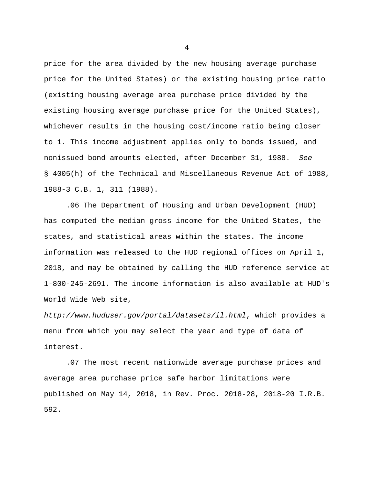price for the area divided by the new housing average purchase price for the United States) or the existing housing price ratio (existing housing average area purchase price divided by the existing housing average purchase price for the United States), whichever results in the housing cost/income ratio being closer to 1. This income adjustment applies only to bonds issued, and nonissued bond amounts elected, after December 31, 1988. *See* § 4005(h) of the Technical and Miscellaneous Revenue Act of 1988, 1988-3 C.B. 1, 311 (1988).

 .06 The Department of Housing and Urban Development (HUD) has computed the median gross income for the United States, the states, and statistical areas within the states. The income information was released to the HUD regional offices on April 1, 2018, and may be obtained by calling the HUD reference service at 1-800-245-2691. The income information is also available at HUD's World Wide Web site,

*http://www.huduser.gov/portal/datasets/il.html*, which provides a menu from which you may select the year and type of data of interest.

 .07 The most recent nationwide average purchase prices and average area purchase price safe harbor limitations were published on May 14, 2018, in Rev. Proc. 2018-28, 2018-20 I.R.B. 592.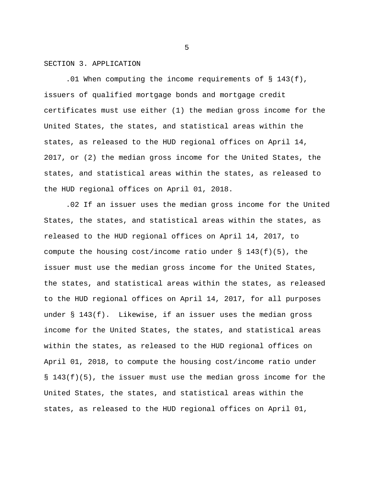## SECTION 3. APPLICATION

 .01 When computing the income requirements of § 143(f), issuers of qualified mortgage bonds and mortgage credit certificates must use either (1) the median gross income for the United States, the states, and statistical areas within the states, as released to the HUD regional offices on April 14, 2017, or (2) the median gross income for the United States, the states, and statistical areas within the states, as released to the HUD regional offices on April 01, 2018.

.02 If an issuer uses the median gross income for the United States, the states, and statistical areas within the states, as released to the HUD regional offices on April 14, 2017, to compute the housing cost/income ratio under § 143(f)(5), the issuer must use the median gross income for the United States, the states, and statistical areas within the states, as released to the HUD regional offices on April 14, 2017, for all purposes under § 143(f). Likewise, if an issuer uses the median gross income for the United States, the states, and statistical areas within the states, as released to the HUD regional offices on April 01, 2018, to compute the housing cost/income ratio under § 143(f)(5), the issuer must use the median gross income for the United States, the states, and statistical areas within the states, as released to the HUD regional offices on April 01,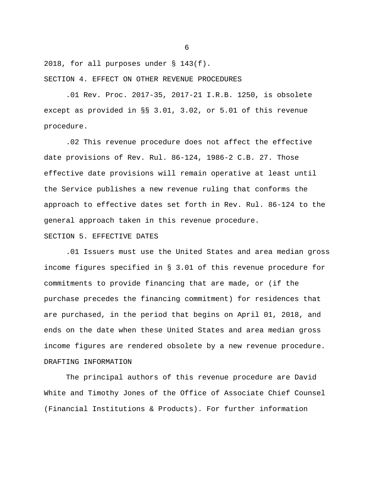2018, for all purposes under § 143(f). SECTION 4. EFFECT ON OTHER REVENUE PROCEDURES

 .01 Rev. Proc. 2017-35, 2017-21 I.R.B. 1250, is obsolete except as provided in §§ 3.01, 3.02, or 5.01 of this revenue procedure.

 .02 This revenue procedure does not affect the effective date provisions of Rev. Rul. 86-124, 1986-2 C.B. 27. Those effective date provisions will remain operative at least until the Service publishes a new revenue ruling that conforms the approach to effective dates set forth in Rev. Rul. 86-124 to the general approach taken in this revenue procedure. SECTION 5. EFFECTIVE DATES

 .01 Issuers must use the United States and area median gross income figures specified in § 3.01 of this revenue procedure for commitments to provide financing that are made, or (if the purchase precedes the financing commitment) for residences that are purchased, in the period that begins on April 01, 2018, and ends on the date when these United States and area median gross income figures are rendered obsolete by a new revenue procedure. DRAFTING INFORMATION

 The principal authors of this revenue procedure are David White and Timothy Jones of the Office of Associate Chief Counsel (Financial Institutions & Products). For further information